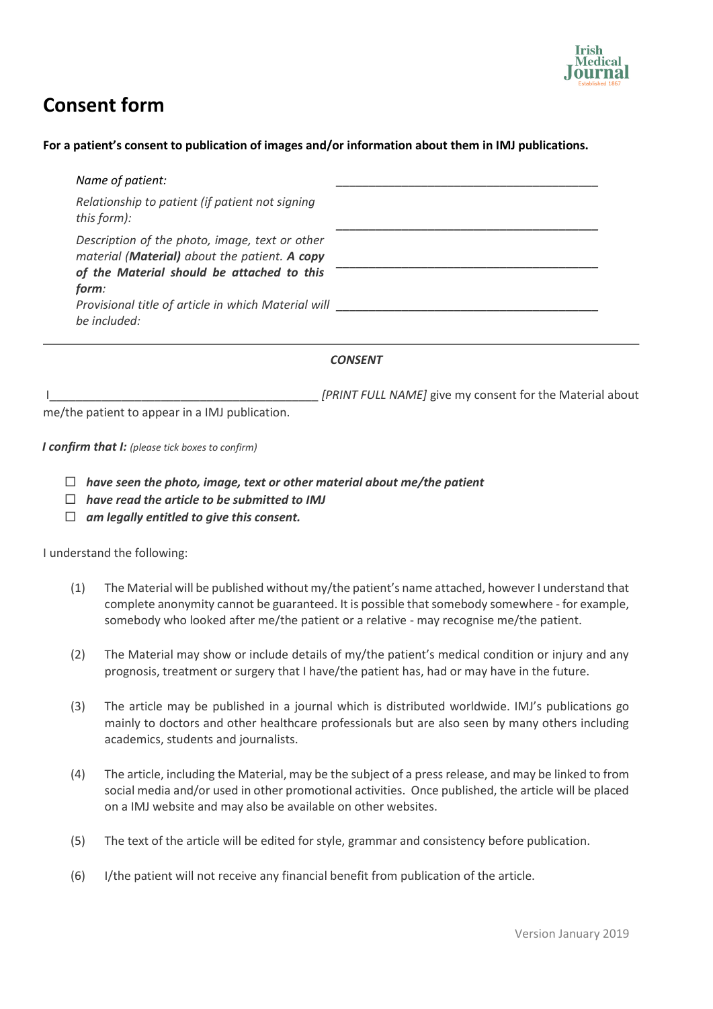

## **Consent form**

## **For a patient's consent to publication of images and/or information about them in IMJ publications.**

| Name of patient:                                                                                |  |
|-------------------------------------------------------------------------------------------------|--|
| Relationship to patient (if patient not signing<br>this form):                                  |  |
| Description of the photo, image, text or other<br>material (Material) about the patient. A copy |  |
| of the Material should be attached to this<br>form:                                             |  |
| Provisional title of article in which Material will<br>be included:                             |  |

## *CONSENT*

ILECTED STATE IN A LOCAL THE RELATIONS OF THE MATE **I** give my consent for the Material about

me/the patient to appear in a IMJ publication.

*I confirm that I: (please tick boxes to confirm)*

- *have seen the photo, image, text or other material about me/the patient*
- *have read the article to be submitted to IMJ*
- *am legally entitled to give this consent.*

I understand the following:

- (1) The Material will be published without my/the patient's name attached, however I understand that complete anonymity cannot be guaranteed. It is possible that somebody somewhere - for example, somebody who looked after me/the patient or a relative - may recognise me/the patient.
- (2) The Material may show or include details of my/the patient's medical condition or injury and any prognosis, treatment or surgery that I have/the patient has, had or may have in the future.
- (3) The article may be published in a journal which is distributed worldwide. IMJ's publications go mainly to doctors and other healthcare professionals but are also seen by many others including academics, students and journalists.
- (4) The article, including the Material, may be the subject of a press release, and may be linked to from social media and/or used in other promotional activities. Once published, the article will be placed on a IMJ website and may also be available on other websites.
- (5) The text of the article will be edited for style, grammar and consistency before publication.
- (6) I/the patient will not receive any financial benefit from publication of the article.